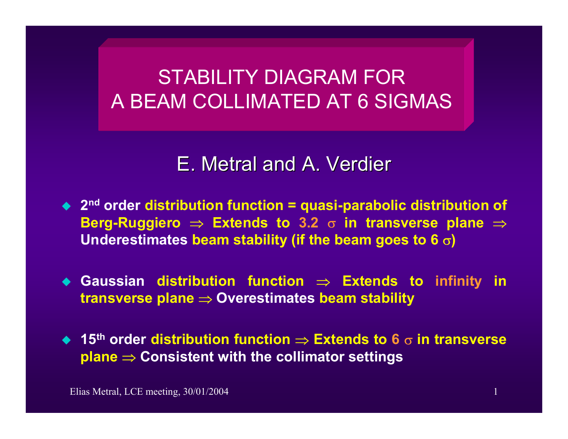STABILITY DIAGRAM FORA BEAM COLLIMATED AT 6 SIGMAS

# E. Metral and A. Verdier

- **2nd order distribution function = quasi-parabolic distribution of Berg-Ruggiero** <sup>⇒</sup> **Extends to 3.2** <sup>σ</sup> **in transverse plane** <sup>⇒</sup> **Underestimates beam stability (if the beam goes to 6** σ**)**
- **Gaussian distribution function** <sup>⇒</sup> **Extends to infinity in transverse plane** <sup>⇒</sup> **Overestimates beam stability**
- **15th order distribution function** <sup>⇒</sup> **Extends to 6** <sup>σ</sup> **in transverse plane** <sup>⇒</sup> **Consistent with the collimator settings**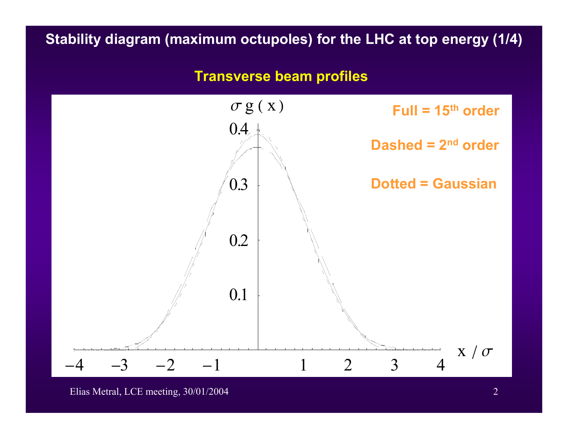#### **Stability diagram (maximum octupoles) for the LHC at top energy (1/4)**

**Transverse beam profiles**



#### Elias Metral, LCE meeting, 30/01/2004 2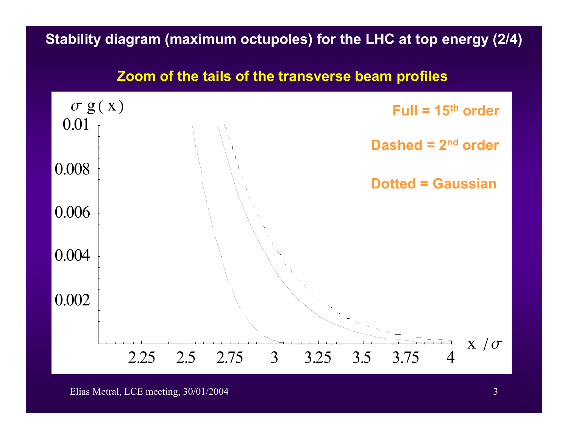#### **Stability diagram (maximum octupoles) for the LHC at top energy (2/4)**

#### **Zoom of the tails of the transverse beam profiles**

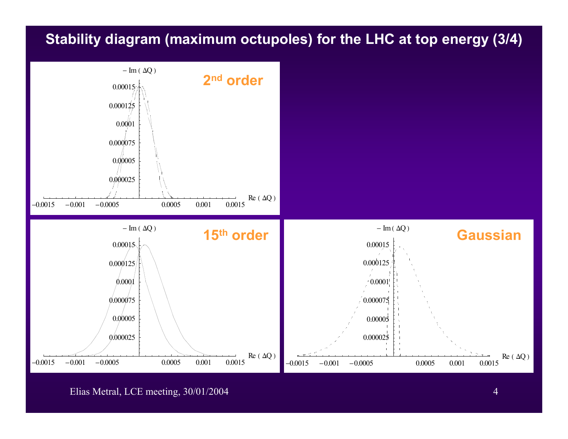#### **Stability diagram (maximum octupoles) for the LHC at top energy (3/4)**



Elias Metral, LCE meeting, 30/01/2004 4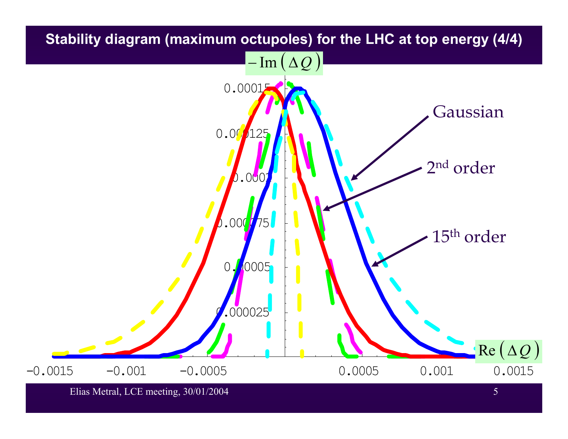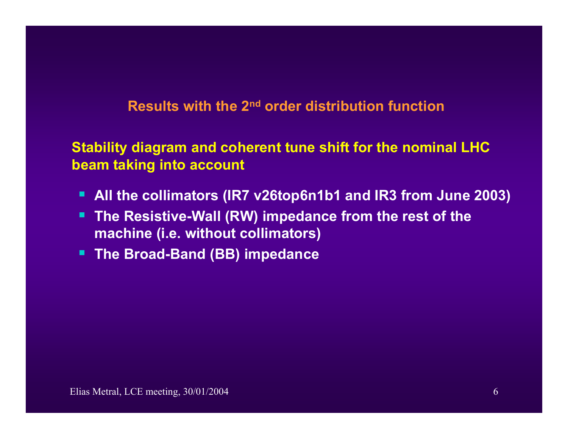**Results with the 2nd order distribution function**

**Stability diagram and coherent tune shift for the nominal LHC beam taking into account**

- ш **All the collimators (IR7 v26top6n1b1 and IR3 from June 2003)**
- $\blacksquare$  **The Resistive-Wall (RW) impedance from the rest of the machine (i.e. without collimators)**
- **The Broad-Band (BB) impedance**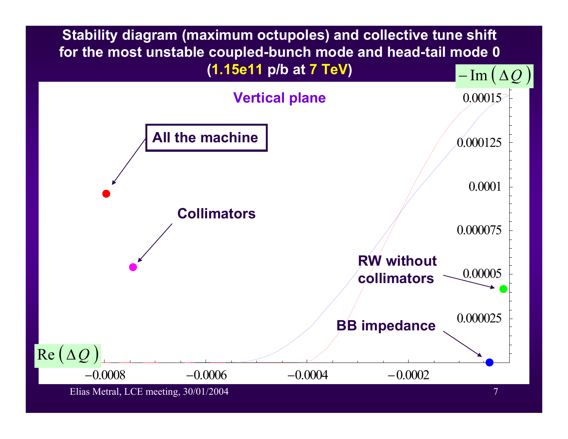**Stability diagram (maximum octupoles) and collective tune shift for the most unstable coupled-bunch mode and head-tail mode 0 (1.15e11 p/b at 7 TeV)** 

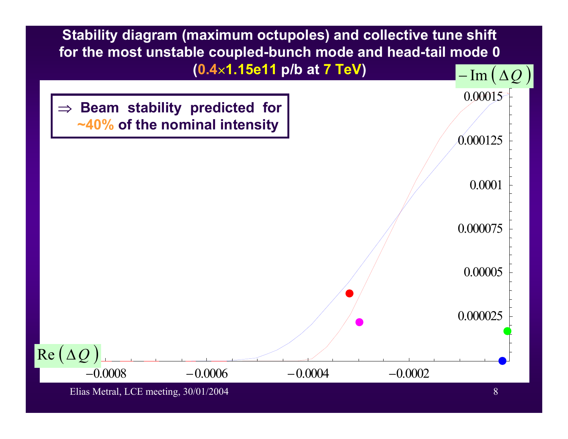

Elias Metral, LCE meeting, 30/01/2004 8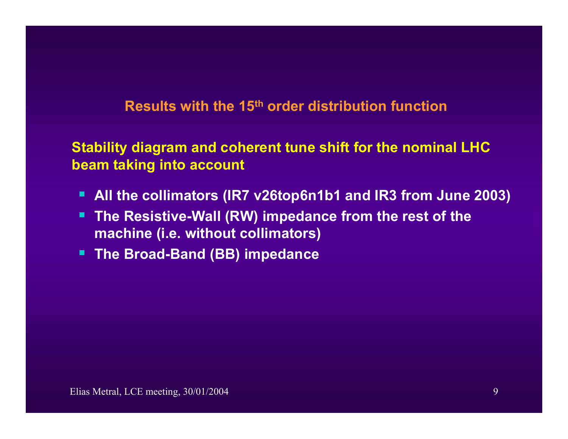#### **Results with the 15th order distribution function**

## **Stability diagram and coherent tune shift for the nominal LHC beam taking into account**

- ш **All the collimators (IR7 v26top6n1b1 and IR3 from June 2003)**
- $\blacksquare$  **The Resistive-Wall (RW) impedance from the rest of the machine (i.e. without collimators)**
- **The Broad-Band (BB) impedance**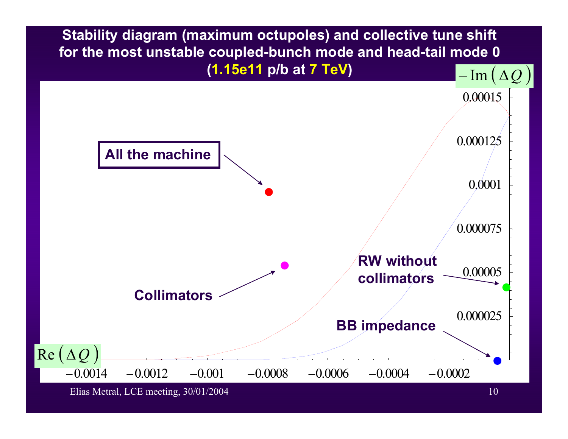

Elias Metral, LCE meeting, 30/01/2004 10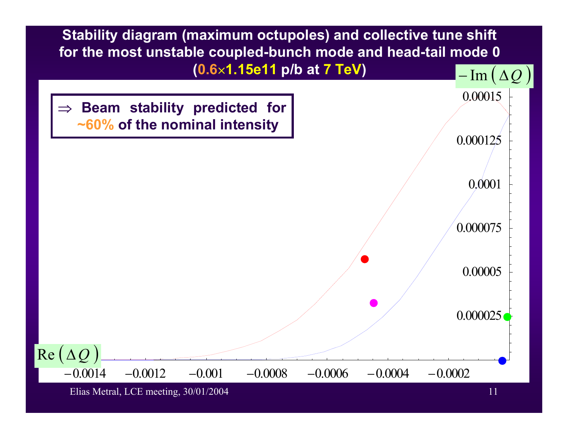

Elias Metral, LCE meeting, 30/01/2004 11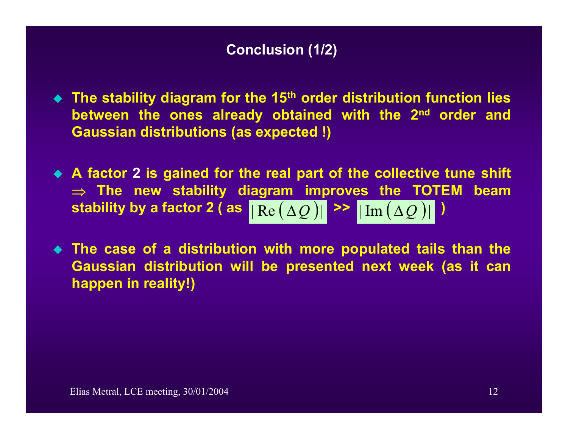## **Conclusion (1/2)**

- **The stability diagram for the 15th order distribution function lies between the ones already obtained with the 2nd order and Gaussian distributions (as expected !)**
- **A factor 2 is gained for the real part of the collective tune shift**  ⇒ **The new stability diagram improves the TOTEM beam stability by a factor 2 ( as >> )** | Re ( <sup>∆</sup>*Q* )| | Im ( <sup>∆</sup>*Q* )|
- **The case of a distribution with more populated tails than the Gaussian distribution will be presented next week (as it can happen in reality!)**